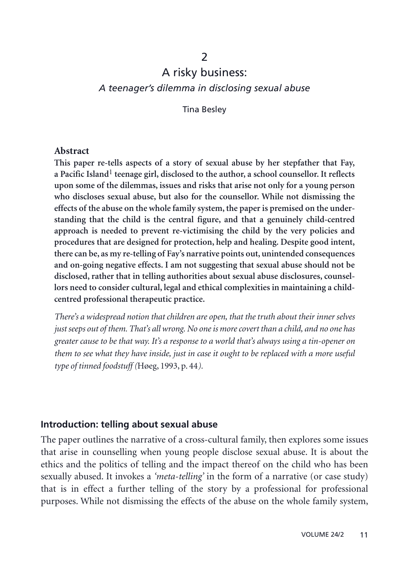# $\mathcal{P}$ A risky business:

*A teenager's dilemma in disclosing sexual abuse*

Tina Besley

#### **Abstract**

**This paper re-tells aspects of a story of sexual abuse by her stepfather that Fay, a Pacific Island**1 **teenage girl, disclosed to the author, a school counsellor. It reflects upon some of the dilemmas, issues and risks that arise not only for a young person who discloses sexual abuse, but also for the counsellor. While not dismissing the effects of the abuse on the whole family system, the paper is premised on the understanding that the child is the central figure, and that a genuinely child-centred approach is needed to prevent re-victimising the child by the very policies and procedures that are designed for protection, help and healing. Despite good intent, there can be, as my re-telling of Fay's narrative points out, unintended consequences and on-going negative effects. I am not suggesting that sexual abuse should not be disclosed, rather that in telling authorities about sexual abuse disclosures, counsellors need to consider cultural, legal and ethical complexities in maintaining a childcentred professional therapeutic practice.**

*There's a widespread notion that children are open, that the truth about their inner selves just seeps out of them. That's all wrong. No one is more covert than a child, and no one has greater cause to be that way. It's a response to a world that's always using a tin-opener on them to see what they have inside, just in case it ought to be replaced with a more useful type of tinned foodstuff (*Høeg, 1993, p. 44*).*

### **Introduction: telling about sexual abuse**

The paper outlines the narrative of a cross-cultural family, then explores some issues that arise in counselling when young people disclose sexual abuse. It is about the ethics and the politics of telling and the impact thereof on the child who has been sexually abused. It invokes a *'meta-telling'* in the form of a narrative (or case study) that is in effect a further telling of the story by a professional for professional purposes. While not dismissing the effects of the abuse on the whole family system,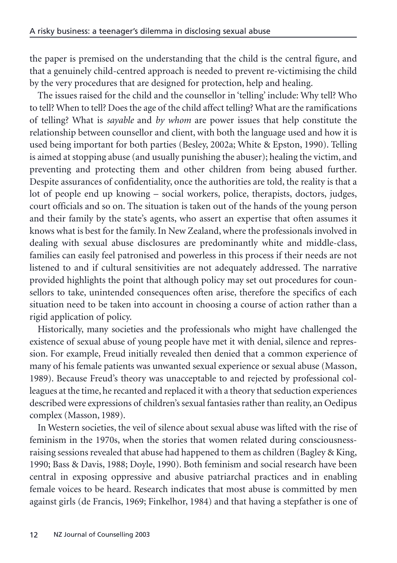the paper is premised on the understanding that the child is the central figure, and that a genuinely child-centred approach is needed to prevent re-victimising the child by the very procedures that are designed for protection, help and healing.

The issues raised for the child and the counsellor in 'telling' include: Why tell? Who to tell? When to tell? Does the age of the child affect telling? What are the ramifications of telling? What is *sayable* and *by whom* are power issues that help constitute the relationship between counsellor and client, with both the language used and how it is used being important for both parties (Besley, 2002a; White & Epston, 1990). Telling is aimed at stopping abuse (and usually punishing the abuser); healing the victim, and preventing and protecting them and other children from being abused further. Despite assurances of confidentiality, once the authorities are told, the reality is that a lot of people end up knowing – social workers, police, therapists, doctors, judges, court officials and so on. The situation is taken out of the hands of the young person and their family by the state's agents, who assert an expertise that often assumes it knows what is best for the family. In New Zealand, where the professionals involved in dealing with sexual abuse disclosures are predominantly white and middle-class, families can easily feel patronised and powerless in this process if their needs are not listened to and if cultural sensitivities are not adequately addressed. The narrative provided highlights the point that although policy may set out procedures for counsellors to take, unintended consequences often arise, therefore the specifics of each situation need to be taken into account in choosing a course of action rather than a rigid application of policy.

Historically, many societies and the professionals who might have challenged the existence of sexual abuse of young people have met it with denial, silence and repression. For example, Freud initially revealed then denied that a common experience of many of his female patients was unwanted sexual experience or sexual abuse (Masson, 1989). Because Freud's theory was unacceptable to and rejected by professional colleagues at the time, he recanted and replaced it with a theory that seduction experiences described were expressions of children's sexual fantasies rather than reality, an Oedipus complex (Masson, 1989).

In Western societies, the veil of silence about sexual abuse was lifted with the rise of feminism in the 1970s, when the stories that women related during consciousnessraising sessions revealed that abuse had happened to them as children (Bagley & King, 1990; Bass & Davis, 1988; Doyle, 1990). Both feminism and social research have been central in exposing oppressive and abusive patriarchal practices and in enabling female voices to be heard. Research indicates that most abuse is committed by men against girls (de Francis, 1969; Finkelhor, 1984) and that having a stepfather is one of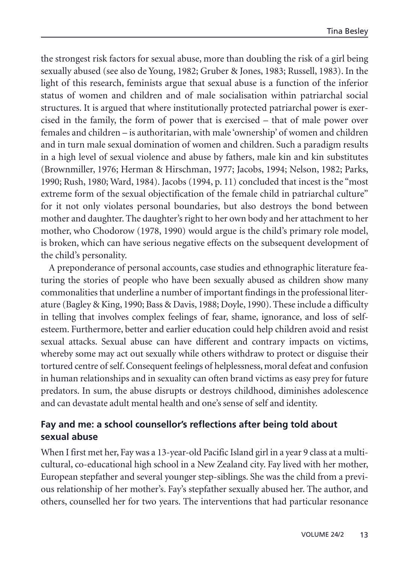the strongest risk factors for sexual abuse, more than doubling the risk of a girl being sexually abused (see also de Young, 1982; Gruber & Jones, 1983; Russell, 1983). In the light of this research, feminists argue that sexual abuse is a function of the inferior status of women and children and of male socialisation within patriarchal social structures. It is argued that where institutionally protected patriarchal power is exercised in the family, the form of power that is exercised – that of male power over females and children – is authoritarian, with male 'ownership' of women and children and in turn male sexual domination of women and children. Such a paradigm results in a high level of sexual violence and abuse by fathers, male kin and kin substitutes (Brownmiller, 1976; Herman & Hirschman, 1977; Jacobs, 1994; Nelson, 1982; Parks, 1990; Rush, 1980; Ward, 1984). Jacobs (1994, p. 11) concluded that incest is the "most extreme form of the sexual objectification of the female child in patriarchal culture" for it not only violates personal boundaries, but also destroys the bond between mother and daughter. The daughter's right to her own body and her attachment to her mother, who Chodorow (1978, 1990) would argue is the child's primary role model, is broken, which can have serious negative effects on the subsequent development of the child's personality.

A preponderance of personal accounts, case studies and ethnographic literature featuring the stories of people who have been sexually abused as children show many commonalities that underline a number of important findings in the professional literature (Bagley & King, 1990; Bass & Davis, 1988; Doyle, 1990). These include a difficulty in telling that involves complex feelings of fear, shame, ignorance, and loss of selfesteem. Furthermore, better and earlier education could help children avoid and resist sexual attacks. Sexual abuse can have different and contrary impacts on victims, whereby some may act out sexually while others withdraw to protect or disguise their tortured centre of self. Consequent feelings of helplessness, moral defeat and confusion in human relationships and in sexuality can often brand victims as easy prey for future predators. In sum, the abuse disrupts or destroys childhood, diminishes adolescence and can devastate adult mental health and one's sense of self and identity.

## **Fay and me: a school counsellor's reflections after being told about sexual abuse**

When I first met her, Fay was a 13-year-old Pacific Island girl in a year 9 class at a multicultural, co-educational high school in a New Zealand city. Fay lived with her mother, European stepfather and several younger step-siblings. She was the child from a previous relationship of her mother's. Fay's stepfather sexually abused her. The author, and others, counselled her for two years. The interventions that had particular resonance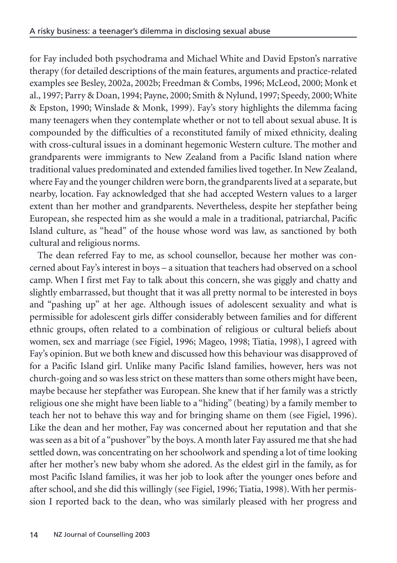for Fay included both psychodrama and Michael White and David Epston's narrative therapy (for detailed descriptions of the main features, arguments and practice-related examples see Besley, 2002a, 2002b; Freedman & Combs, 1996; McLeod, 2000; Monk et al., 1997; Parry & Doan, 1994; Payne, 2000; Smith & Nylund, 1997; Speedy, 2000; White & Epston, 1990; Winslade & Monk, 1999). Fay's story highlights the dilemma facing many teenagers when they contemplate whether or not to tell about sexual abuse. It is compounded by the difficulties of a reconstituted family of mixed ethnicity, dealing with cross-cultural issues in a dominant hegemonic Western culture. The mother and grandparents were immigrants to New Zealand from a Pacific Island nation where traditional values predominated and extended families lived together. In New Zealand, where Fay and the younger children were born, the grandparents lived at a separate, but nearby, location. Fay acknowledged that she had accepted Western values to a larger extent than her mother and grandparents. Nevertheless, despite her stepfather being European, she respected him as she would a male in a traditional, patriarchal, Pacific Island culture, as "head" of the house whose word was law, as sanctioned by both cultural and religious norms.

The dean referred Fay to me, as school counsellor, because her mother was concerned about Fay's interest in boys – a situation that teachers had observed on a school camp. When I first met Fay to talk about this concern, she was giggly and chatty and slightly embarrassed, but thought that it was all pretty normal to be interested in boys and "pashing up" at her age. Although issues of adolescent sexuality and what is permissible for adolescent girls differ considerably between families and for different ethnic groups, often related to a combination of religious or cultural beliefs about women, sex and marriage (see Figiel, 1996; Mageo, 1998; Tiatia, 1998), I agreed with Fay's opinion. But we both knew and discussed how this behaviour was disapproved of for a Pacific Island girl. Unlike many Pacific Island families, however, hers was not church-going and so was less strict on these matters than some others might have been, maybe because her stepfather was European. She knew that if her family was a strictly religious one she might have been liable to a "hiding" (beating) by a family member to teach her not to behave this way and for bringing shame on them (see Figiel, 1996). Like the dean and her mother, Fay was concerned about her reputation and that she was seen as a bit of a "pushover" by the boys. A month later Fay assured me that she had settled down, was concentrating on her schoolwork and spending a lot of time looking after her mother's new baby whom she adored. As the eldest girl in the family, as for most Pacific Island families, it was her job to look after the younger ones before and after school, and she did this willingly (see Figiel, 1996; Tiatia, 1998). With her permission I reported back to the dean, who was similarly pleased with her progress and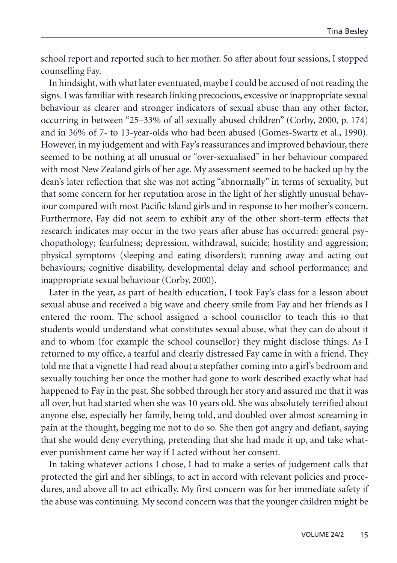school report and reported such to her mother. So after about four sessions, I stopped counselling Fay.

In hindsight, with what later eventuated, maybe I could be accused of not reading the signs. I was familiar with research linking precocious, excessive or inappropriate sexual behaviour as clearer and stronger indicators of sexual abuse than any other factor, occurring in between "25–33% of all sexually abused children" (Corby, 2000, p. 174) and in 36% of 7- to 13-year-olds who had been abused (Gomes-Swartz et al., 1990). However, in my judgement and with Fay's reassurances and improved behaviour, there seemed to be nothing at all unusual or "over-sexualised" in her behaviour compared with most New Zealand girls of her age. My assessment seemed to be backed up by the dean's later reflection that she was not acting "abnormally" in terms of sexuality, but that some concern for her reputation arose in the light of her slightly unusual behaviour compared with most Pacific Island girls and in response to her mother's concern. Furthermore, Fay did not seem to exhibit any of the other short-term effects that research indicates may occur in the two years after abuse has occurred: general psychopathology; fearfulness; depression, withdrawal, suicide; hostility and aggression; physical symptoms (sleeping and eating disorders); running away and acting out behaviours; cognitive disability, developmental delay and school performance; and inappropriate sexual behaviour (Corby, 2000).

Later in the year, as part of health education, I took Fay's class for a lesson about sexual abuse and received a big wave and cheery smile from Fay and her friends as I entered the room. The school assigned a school counsellor to teach this so that students would understand what constitutes sexual abuse, what they can do about it and to whom (for example the school counsellor) they might disclose things. As I returned to my office, a tearful and clearly distressed Fay came in with a friend. They told me that a vignette I had read about a stepfather coming into a girl's bedroom and sexually touching her once the mother had gone to work described exactly what had happened to Fay in the past. She sobbed through her story and assured me that it was all over, but had started when she was 10 years old. She was absolutely terrified about anyone else, especially her family, being told, and doubled over almost screaming in pain at the thought, begging me not to do so. She then got angry and defiant, saying that she would deny everything, pretending that she had made it up, and take whatever punishment came her way if I acted without her consent.

In taking whatever actions I chose, I had to make a series of judgement calls that protected the girl and her siblings, to act in accord with relevant policies and procedures, and above all to act ethically. My first concern was for her immediate safety if the abuse was continuing. My second concern was that the younger children might be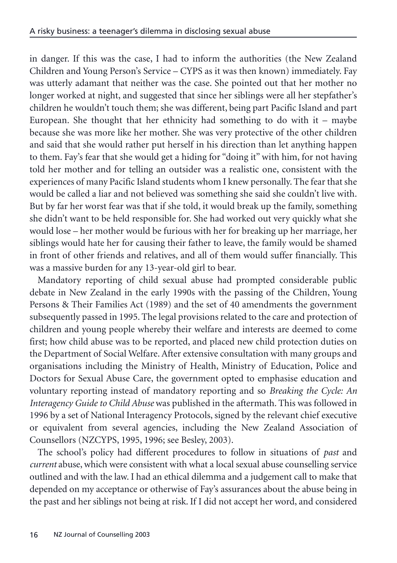in danger. If this was the case, I had to inform the authorities (the New Zealand Children and Young Person's Service – CYPS as it was then known) immediately. Fay was utterly adamant that neither was the case. She pointed out that her mother no longer worked at night, and suggested that since her siblings were all her stepfather's children he wouldn't touch them; she was different, being part Pacific Island and part European. She thought that her ethnicity had something to do with it – maybe because she was more like her mother. She was very protective of the other children and said that she would rather put herself in his direction than let anything happen to them. Fay's fear that she would get a hiding for "doing it" with him, for not having told her mother and for telling an outsider was a realistic one, consistent with the experiences of many Pacific Island students whom I knew personally. The fear that she would be called a liar and not believed was something she said she couldn't live with. But by far her worst fear was that if she told, it would break up the family, something she didn't want to be held responsible for. She had worked out very quickly what she would lose – her mother would be furious with her for breaking up her marriage, her siblings would hate her for causing their father to leave, the family would be shamed in front of other friends and relatives, and all of them would suffer financially. This was a massive burden for any 13-year-old girl to bear.

Mandatory reporting of child sexual abuse had prompted considerable public debate in New Zealand in the early 1990s with the passing of the Children, Young Persons & Their Families Act (1989) and the set of 40 amendments the government subsequently passed in 1995. The legal provisions related to the care and protection of children and young people whereby their welfare and interests are deemed to come first; how child abuse was to be reported, and placed new child protection duties on the Department of Social Welfare. After extensive consultation with many groups and organisations including the Ministry of Health, Ministry of Education, Police and Doctors for Sexual Abuse Care, the government opted to emphasise education and voluntary reporting instead of mandatory reporting and so *Breaking the Cycle: An Interagency Guide to Child Abuse* was published in the aftermath. This was followed in 1996 by a set of National Interagency Protocols, signed by the relevant chief executive or equivalent from several agencies, including the New Zealand Association of Counsellors (NZCYPS, 1995, 1996; see Besley, 2003).

The school's policy had different procedures to follow in situations of *past* and *current* abuse, which were consistent with what a local sexual abuse counselling service outlined and with the law. I had an ethical dilemma and a judgement call to make that depended on my acceptance or otherwise of Fay's assurances about the abuse being in the past and her siblings not being at risk. If I did not accept her word, and considered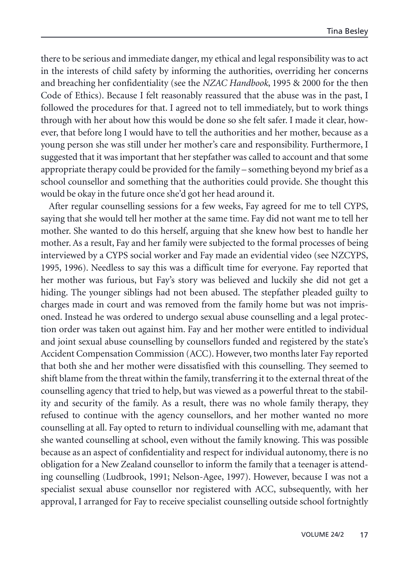there to be serious and immediate danger, my ethical and legal responsibility was to act in the interests of child safety by informing the authorities, overriding her concerns and breaching her confidentiality (see the *NZAC Handbook*, 1995 & 2000 for the then Code of Ethics). Because I felt reasonably reassured that the abuse was in the past, I followed the procedures for that. I agreed not to tell immediately, but to work things through with her about how this would be done so she felt safer. I made it clear, however, that before long I would have to tell the authorities and her mother, because as a young person she was still under her mother's care and responsibility. Furthermore, I suggested that it was important that her stepfather was called to account and that some appropriate therapy could be provided for the family – something beyond my brief as a school counsellor and something that the authorities could provide. She thought this would be okay in the future once she'd got her head around it.

After regular counselling sessions for a few weeks, Fay agreed for me to tell CYPS, saying that she would tell her mother at the same time. Fay did not want me to tell her mother. She wanted to do this herself, arguing that she knew how best to handle her mother. As a result, Fay and her family were subjected to the formal processes of being interviewed by a CYPS social worker and Fay made an evidential video (see NZCYPS, 1995, 1996). Needless to say this was a difficult time for everyone. Fay reported that her mother was furious, but Fay's story was believed and luckily she did not get a hiding. The younger siblings had not been abused. The stepfather pleaded guilty to charges made in court and was removed from the family home but was not imprisoned. Instead he was ordered to undergo sexual abuse counselling and a legal protection order was taken out against him. Fay and her mother were entitled to individual and joint sexual abuse counselling by counsellors funded and registered by the state's Accident Compensation Commission (ACC). However, two months later Fay reported that both she and her mother were dissatisfied with this counselling. They seemed to shift blame from the threat within the family, transferring it to the external threat of the counselling agency that tried to help, but was viewed as a powerful threat to the stability and security of the family. As a result, there was no whole family therapy, they refused to continue with the agency counsellors, and her mother wanted no more counselling at all. Fay opted to return to individual counselling with me, adamant that she wanted counselling at school, even without the family knowing. This was possible because as an aspect of confidentiality and respect for individual autonomy, there is no obligation for a New Zealand counsellor to inform the family that a teenager is attending counselling (Ludbrook, 1991; Nelson-Agee, 1997). However, because I was not a specialist sexual abuse counsellor nor registered with ACC, subsequently, with her approval, I arranged for Fay to receive specialist counselling outside school fortnightly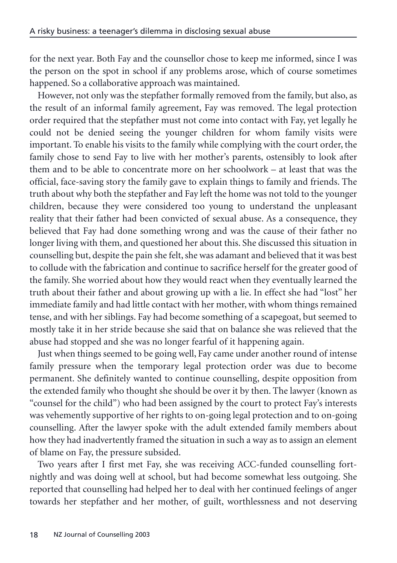for the next year. Both Fay and the counsellor chose to keep me informed, since I was the person on the spot in school if any problems arose, which of course sometimes happened. So a collaborative approach was maintained.

However, not only was the stepfather formally removed from the family, but also, as the result of an informal family agreement, Fay was removed. The legal protection order required that the stepfather must not come into contact with Fay, yet legally he could not be denied seeing the younger children for whom family visits were important. To enable his visits to the family while complying with the court order, the family chose to send Fay to live with her mother's parents, ostensibly to look after them and to be able to concentrate more on her schoolwork – at least that was the official, face-saving story the family gave to explain things to family and friends. The truth about why both the stepfather and Fay left the home was not told to the younger children, because they were considered too young to understand the unpleasant reality that their father had been convicted of sexual abuse. As a consequence, they believed that Fay had done something wrong and was the cause of their father no longer living with them, and questioned her about this. She discussed this situation in counselling but, despite the pain she felt, she was adamant and believed that it was best to collude with the fabrication and continue to sacrifice herself for the greater good of the family. She worried about how they would react when they eventually learned the truth about their father and about growing up with a lie. In effect she had "lost" her immediate family and had little contact with her mother, with whom things remained tense, and with her siblings. Fay had become something of a scapegoat, but seemed to mostly take it in her stride because she said that on balance she was relieved that the abuse had stopped and she was no longer fearful of it happening again.

Just when things seemed to be going well, Fay came under another round of intense family pressure when the temporary legal protection order was due to become permanent. She definitely wanted to continue counselling, despite opposition from the extended family who thought she should be over it by then. The lawyer (known as "counsel for the child") who had been assigned by the court to protect Fay's interests was vehemently supportive of her rights to on-going legal protection and to on-going counselling. After the lawyer spoke with the adult extended family members about how they had inadvertently framed the situation in such a way as to assign an element of blame on Fay, the pressure subsided.

Two years after I first met Fay, she was receiving ACC-funded counselling fortnightly and was doing well at school, but had become somewhat less outgoing. She reported that counselling had helped her to deal with her continued feelings of anger towards her stepfather and her mother, of guilt, worthlessness and not deserving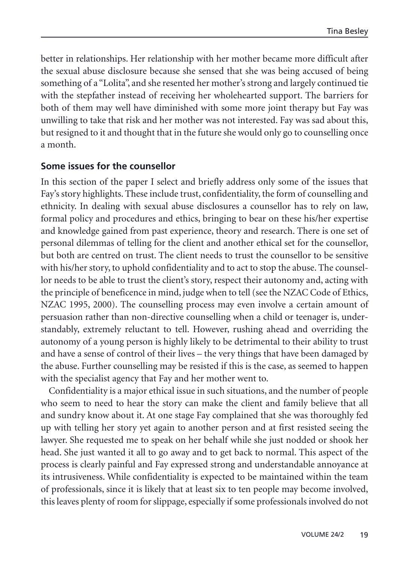better in relationships. Her relationship with her mother became more difficult after the sexual abuse disclosure because she sensed that she was being accused of being something of a "Lolita", and she resented her mother's strong and largely continued tie with the stepfather instead of receiving her wholehearted support. The barriers for both of them may well have diminished with some more joint therapy but Fay was unwilling to take that risk and her mother was not interested. Fay was sad about this, but resigned to it and thought that in the future she would only go to counselling once a month.

### **Some issues for the counsellor**

In this section of the paper I select and briefly address only some of the issues that Fay's story highlights. These include trust, confidentiality, the form of counselling and ethnicity. In dealing with sexual abuse disclosures a counsellor has to rely on law, formal policy and procedures and ethics, bringing to bear on these his/her expertise and knowledge gained from past experience, theory and research. There is one set of personal dilemmas of telling for the client and another ethical set for the counsellor, but both are centred on trust. The client needs to trust the counsellor to be sensitive with his/her story, to uphold confidentiality and to act to stop the abuse. The counsellor needs to be able to trust the client's story, respect their autonomy and, acting with the principle of beneficence in mind, judge when to tell (see the NZAC Code of Ethics, NZAC 1995, 2000). The counselling process may even involve a certain amount of persuasion rather than non-directive counselling when a child or teenager is, understandably, extremely reluctant to tell. However, rushing ahead and overriding the autonomy of a young person is highly likely to be detrimental to their ability to trust and have a sense of control of their lives – the very things that have been damaged by the abuse. Further counselling may be resisted if this is the case, as seemed to happen with the specialist agency that Fay and her mother went to.

Confidentiality is a major ethical issue in such situations, and the number of people who seem to need to hear the story can make the client and family believe that all and sundry know about it. At one stage Fay complained that she was thoroughly fed up with telling her story yet again to another person and at first resisted seeing the lawyer. She requested me to speak on her behalf while she just nodded or shook her head. She just wanted it all to go away and to get back to normal. This aspect of the process is clearly painful and Fay expressed strong and understandable annoyance at its intrusiveness. While confidentiality is expected to be maintained within the team of professionals, since it is likely that at least six to ten people may become involved, this leaves plenty of room for slippage, especially if some professionals involved do not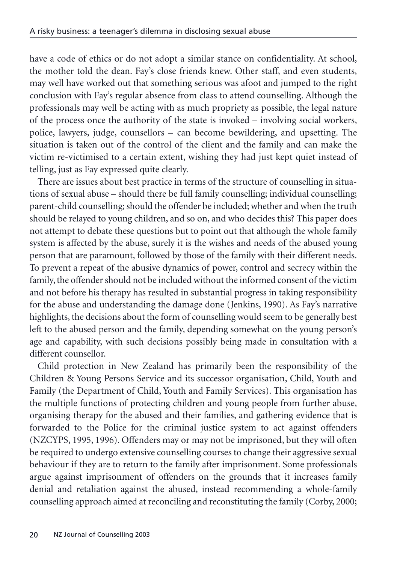have a code of ethics or do not adopt a similar stance on confidentiality. At school, the mother told the dean. Fay's close friends knew. Other staff, and even students, may well have worked out that something serious was afoot and jumped to the right conclusion with Fay's regular absence from class to attend counselling. Although the professionals may well be acting with as much propriety as possible, the legal nature of the process once the authority of the state is invoked – involving social workers, police, lawyers, judge, counsellors – can become bewildering, and upsetting. The situation is taken out of the control of the client and the family and can make the victim re-victimised to a certain extent, wishing they had just kept quiet instead of telling, just as Fay expressed quite clearly.

There are issues about best practice in terms of the structure of counselling in situations of sexual abuse – should there be full family counselling; individual counselling; parent-child counselling; should the offender be included; whether and when the truth should be relayed to young children, and so on, and who decides this? This paper does not attempt to debate these questions but to point out that although the whole family system is affected by the abuse, surely it is the wishes and needs of the abused young person that are paramount, followed by those of the family with their different needs. To prevent a repeat of the abusive dynamics of power, control and secrecy within the family, the offender should not be included without the informed consent of the victim and not before his therapy has resulted in substantial progress in taking responsibility for the abuse and understanding the damage done (Jenkins, 1990). As Fay's narrative highlights, the decisions about the form of counselling would seem to be generally best left to the abused person and the family, depending somewhat on the young person's age and capability, with such decisions possibly being made in consultation with a different counsellor.

Child protection in New Zealand has primarily been the responsibility of the Children & Young Persons Service and its successor organisation, Child, Youth and Family (the Department of Child, Youth and Family Services). This organisation has the multiple functions of protecting children and young people from further abuse, organising therapy for the abused and their families, and gathering evidence that is forwarded to the Police for the criminal justice system to act against offenders (NZCYPS, 1995, 1996). Offenders may or may not be imprisoned, but they will often be required to undergo extensive counselling courses to change their aggressive sexual behaviour if they are to return to the family after imprisonment. Some professionals argue against imprisonment of offenders on the grounds that it increases family denial and retaliation against the abused, instead recommending a whole-family counselling approach aimed at reconciling and reconstituting the family (Corby, 2000;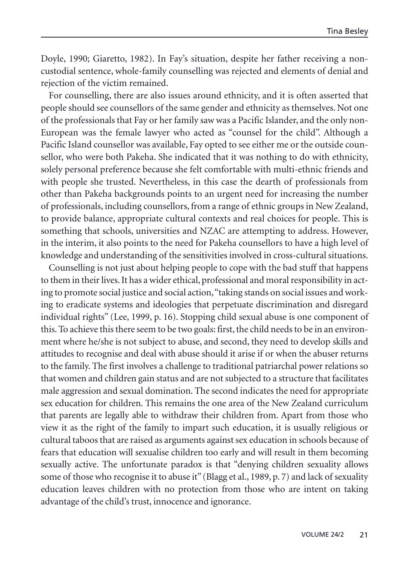Doyle, 1990; Giaretto, 1982). In Fay's situation, despite her father receiving a noncustodial sentence, whole-family counselling was rejected and elements of denial and rejection of the victim remained.

For counselling, there are also issues around ethnicity, and it is often asserted that people should see counsellors of the same gender and ethnicity as themselves. Not one of the professionals that Fay or her family saw was a Pacific Islander, and the only non-European was the female lawyer who acted as "counsel for the child". Although a Pacific Island counsellor was available, Fay opted to see either me or the outside counsellor, who were both Pakeha. She indicated that it was nothing to do with ethnicity, solely personal preference because she felt comfortable with multi-ethnic friends and with people she trusted. Nevertheless, in this case the dearth of professionals from other than Pakeha backgrounds points to an urgent need for increasing the number of professionals, including counsellors, from a range of ethnic groups in New Zealand, to provide balance, appropriate cultural contexts and real choices for people. This is something that schools, universities and NZAC are attempting to address. However, in the interim, it also points to the need for Pakeha counsellors to have a high level of knowledge and understanding of the sensitivities involved in cross-cultural situations.

Counselling is not just about helping people to cope with the bad stuff that happens to them in their lives. It has a wider ethical, professional and moral responsibility in acting to promote social justice and social action,"taking stands on social issues and working to eradicate systems and ideologies that perpetuate discrimination and disregard individual rights" (Lee, 1999, p. 16). Stopping child sexual abuse is one component of this. To achieve this there seem to be two goals: first, the child needs to be in an environment where he/she is not subject to abuse, and second, they need to develop skills and attitudes to recognise and deal with abuse should it arise if or when the abuser returns to the family. The first involves a challenge to traditional patriarchal power relations so that women and children gain status and are not subjected to a structure that facilitates male aggression and sexual domination. The second indicates the need for appropriate sex education for children. This remains the one area of the New Zealand curriculum that parents are legally able to withdraw their children from. Apart from those who view it as the right of the family to impart such education, it is usually religious or cultural taboos that are raised as arguments against sex education in schools because of fears that education will sexualise children too early and will result in them becoming sexually active. The unfortunate paradox is that "denying children sexuality allows some of those who recognise it to abuse it" (Blagg et al., 1989, p. 7) and lack of sexuality education leaves children with no protection from those who are intent on taking advantage of the child's trust, innocence and ignorance.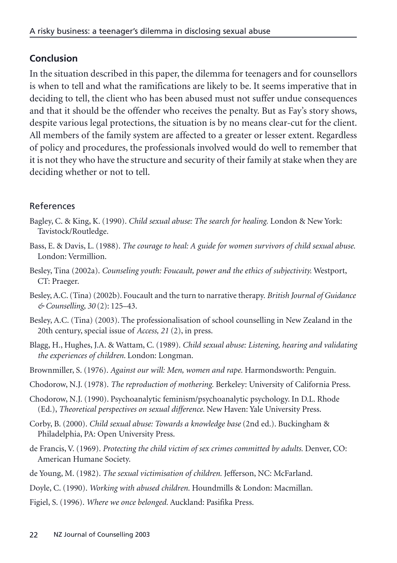## **Conclusion**

In the situation described in this paper, the dilemma for teenagers and for counsellors is when to tell and what the ramifications are likely to be. It seems imperative that in deciding to tell, the client who has been abused must not suffer undue consequences and that it should be the offender who receives the penalty. But as Fay's story shows, despite various legal protections, the situation is by no means clear-cut for the client. All members of the family system are affected to a greater or lesser extent. Regardless of policy and procedures, the professionals involved would do well to remember that it is not they who have the structure and security of their family at stake when they are deciding whether or not to tell.

## References

- Bagley, C. & King, K. (1990). *Child sexual abuse: The search for healing.* London & New York: Tavistock/Routledge.
- Bass, E. & Davis, L. (1988). *The courage to heal: A guide for women survivors of child sexual abuse.* London: Vermillion.
- Besley, Tina (2002a). *Counseling youth: Foucault, power and the ethics of subjectivity.* Westport, CT: Praeger.
- Besley, A.C. (Tina) (2002b). Foucault and the turn to narrative therapy. *British Journal of Guidance & Counselling, 30* (2): 125–43.
- Besley, A.C. (Tina) (2003). The professionalisation of school counselling in New Zealand in the 20th century, special issue of *Access, 21* (2), in press.
- Blagg, H., Hughes, J.A. & Wattam, C. (1989). *Child sexual abuse: Listening, hearing and validating the experiences of children*. London: Longman.
- Brownmiller, S. (1976). *Against our will: Men, women and rape.* Harmondsworth: Penguin.
- Chodorow, N.J. (1978). *The reproduction of mothering.* Berkeley: University of California Press.
- Chodorow, N.J. (1990). Psychoanalytic feminism/psychoanalytic psychology. In D.L. Rhode (Ed.), *Theoretical perspectives on sexual difference.* New Haven: Yale University Press.
- Corby, B. (2000). *Child sexual abuse: Towards a knowledge base* (2nd ed.). Buckingham & Philadelphia, PA: Open University Press.
- de Francis, V. (1969). *Protecting the child victim of sex crimes committed by adults.* Denver, CO: American Humane Society.
- de Young, M. (1982). *The sexual victimisation of children.* Jefferson, NC: McFarland.
- Doyle, C. (1990). *Working with abused children.* Houndmills & London: Macmillan.
- Figiel, S. (1996). *Where we once belonged.* Auckland: Pasifika Press.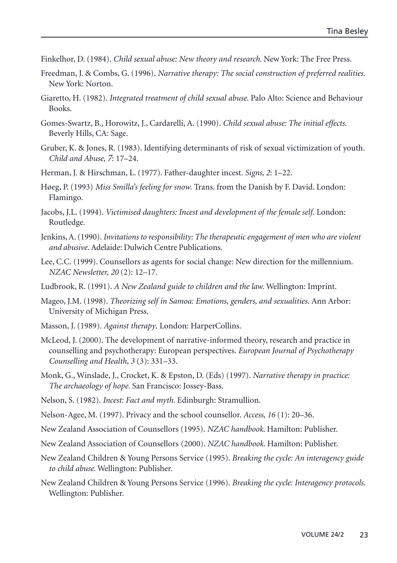- Finkelhor, D. (1984). *Child sexual abuse: New theory and research.* New York: The Free Press.
- Freedman, J. & Combs, G. (1996). *Narrative therapy: The social construction of preferred realities.* New York: Norton.
- Giaretto, H. (1982). *Integrated treatment of child sexual abuse.* Palo Alto: Science and Behaviour Books.
- Gomes-Swartz, B., Horowitz, J., Cardarelli, A. (1990). *Child sexual abuse: The initial effects.* Beverly Hills, CA: Sage.
- Gruber, K. & Jones, R. (1983). Identifying determinants of risk of sexual victimization of youth. *Child and Abuse, 7*: 17–24.
- Herman, J. & Hirschman, L. (1977). Father-daughter incest. *Signs, 2*: 1–22.
- Høeg, P. (1993) *Miss Smilla's feeling for snow.* Trans. from the Danish by F. David. London: Flamingo.
- Jacobs, J.L. (1994). *Victimised daughters: Incest and development of the female self.* London: Routledge.
- Jenkins, A. (1990).*Invitations to responsibility: The therapeutic engagement of men who are violent and abusive.* Adelaide: Dulwich Centre Publications.
- Lee, C.C. (1999). Counsellors as agents for social change: New direction for the millennium. *NZAC Newsletter, 20* (2): 12–17.
- Ludbrook, R. (1991). *A New Zealand guide to children and the law.* Wellington: Imprint.
- Mageo, J.M. (1998). *Theorizing self in Samoa: Emotions, genders, and sexualities.* Ann Arbor: University of Michigan Press.
- Masson, J. (1989). *Against therapy.* London: HarperCollins.
- McLeod, J. (2000). The development of narrative-informed theory, research and practice in counselling and psychotherapy: European perspectives. *European Journal of Psychotherapy Counselling and Health, 3* (3): 331–33.
- Monk, G., Winslade, J., Crocket, K. & Epston, D. (Eds) (1997). *Narrative therapy in practice: The archaeology of hope.* San Francisco: Jossey-Bass.
- Nelson, S. (1982). *Incest: Fact and myth.* Edinburgh: Stramullion.
- Nelson-Agee, M. (1997). Privacy and the school counsellor. *Access*, *16* (1): 20–36.
- New Zealand Association of Counsellors (1995). *NZAC handbook*. Hamilton: Publisher.
- New Zealand Association of Counsellors (2000). *NZAC handbook*. Hamilton: Publisher.
- New Zealand Children & Young Persons Service (1995). *Breaking the cycle: An interagency guide to child abuse*. Wellington: Publisher.
- New Zealand Children & Young Persons Service (1996). *Breaking the cycle: Interagency protocols.* Wellington: Publisher.